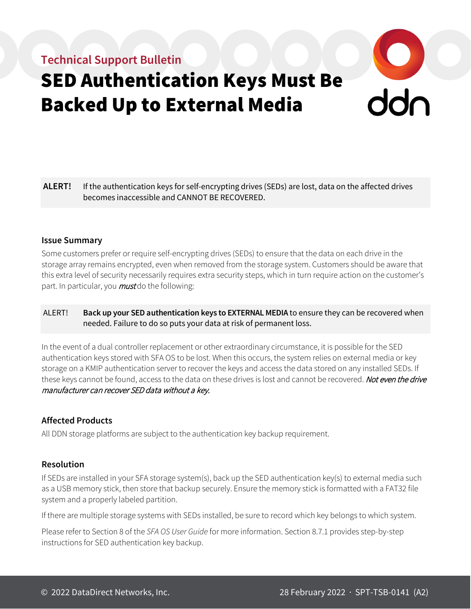## **Technical Support Bulletin**



# SED Authentication Keys Must Be Backed Up to External Media

**ALERT!** If the authentication keys for self-encrypting drives (SEDs) are lost, data on the affected drives becomes inaccessible and CANNOT BE RECOVERED.

#### **Issue Summary**

Some customers prefer or require self-encrypting drives (SEDs) to ensure that the data on each drive in the storage array remains encrypted, even when removed from the storage system. Customers should be aware that this extra level of security necessarily requires extra security steps, which in turn require action on the customer's part. In particular, you *must* do the following:

#### ALERT! **Back up your SED authentication keys to EXTERNAL MEDIA** to ensure they can be recovered when needed. Failure to do so puts your data at risk of permanent loss.

In the event of a dual controller replacement or other extraordinary circumstance, it is possible for the SED authentication keys stored with SFA OS to be lost. When this occurs, the system relies on external media or key storage on a KMIP authentication server to recover the keys and access the data stored on any installed SEDs. If these keys cannot be found, access to the data on these drives is lost and cannot be recovered. Not even the drive manufacturer can recover SED data without a key.

#### **Affected Products**

All DDN storage platforms are subject to the authentication key backup requirement.

#### **Resolution**

If SEDs are installed in your SFA storage system(s), back up the SED authentication key(s) to external media such as a USB memory stick, then store that backup securely. Ensure the memory stick is formatted with a FAT32 file system and a properly labeled partition.

If there are multiple storage systems with SEDs installed, be sure to record which key belongs to which system.

Please refer to Section 8 of the *SFA OS User Guide* for more information. Section 8.7.1 provides step-by-step instructions for SED authentication key backup.